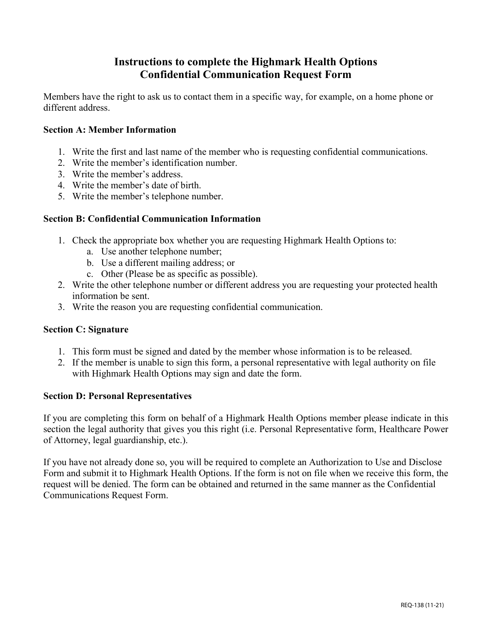### **Instructions to complete the Highmark Health Options Confidential Communication Request Form**

Members have the right to ask us to contact them in a specific way, for example, on a home phone or different address.

#### **Section A: Member Information**

- 1. Write the first and last name of the member who is requesting confidential communications.
- 2. Write the member's identification number.
- 3. Write the member's address.
- 4. Write the member's date of birth.
- 5. Write the member's telephone number.

#### **Section B: Confidential Communication Information**

- 1. Check the appropriate box whether you are requesting Highmark Health Options to:
	- a. Use another telephone number;
	- b. Use a different mailing address; or
	- c. Other (Please be as specific as possible).
- 2. Write the other telephone number or different address you are requesting your protected health information be sent.
- 3. Write the reason you are requesting confidential communication.

#### **Section C: Signature**

- 1. This form must be signed and dated by the member whose information is to be released.
- 2. If the member is unable to sign this form, a personal representative with legal authority on file with Highmark Health Options may sign and date the form.

#### **Section D: Personal Representatives**

If you are completing this form on behalf of a Highmark Health Options member please indicate in this section the legal authority that gives you this right (i.e. Personal Representative form, Healthcare Power of Attorney, legal guardianship, etc.).

If you have not already done so, you will be required to complete an Authorization to Use and Disclose Form and submit it to Highmark Health Options. If the form is not on file when we receive this form, the request will be denied. The form can be obtained and returned in the same manner as the Confidential Communications Request Form.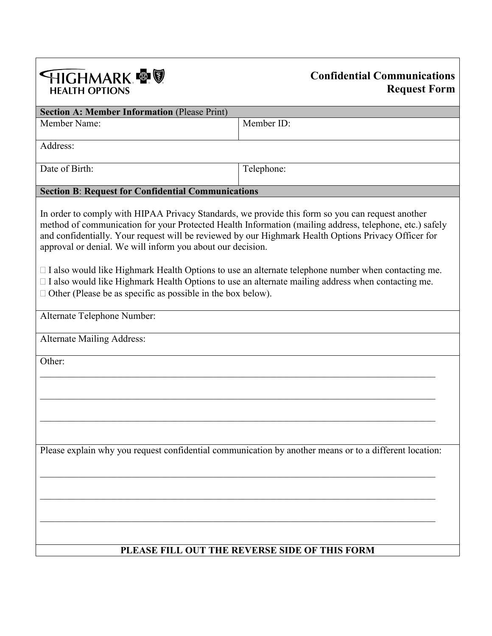

## **Confidential Communications Request Form**

| <b>Section A: Member Information (Please Print)</b>                                                                                                                                                                                                                                                                                                                               |            |  |
|-----------------------------------------------------------------------------------------------------------------------------------------------------------------------------------------------------------------------------------------------------------------------------------------------------------------------------------------------------------------------------------|------------|--|
| Member Name:                                                                                                                                                                                                                                                                                                                                                                      | Member ID: |  |
|                                                                                                                                                                                                                                                                                                                                                                                   |            |  |
| Address:                                                                                                                                                                                                                                                                                                                                                                          |            |  |
| Date of Birth:                                                                                                                                                                                                                                                                                                                                                                    | Telephone: |  |
|                                                                                                                                                                                                                                                                                                                                                                                   |            |  |
| <b>Section B: Request for Confidential Communications</b>                                                                                                                                                                                                                                                                                                                         |            |  |
| In order to comply with HIPAA Privacy Standards, we provide this form so you can request another<br>method of communication for your Protected Health Information (mailing address, telephone, etc.) safely<br>and confidentially. Your request will be reviewed by our Highmark Health Options Privacy Officer for<br>approval or denial. We will inform you about our decision. |            |  |
| $\Box$ I also would like Highmark Health Options to use an alternate telephone number when contacting me.<br>$\Box$ I also would like Highmark Health Options to use an alternate mailing address when contacting me.<br>$\Box$ Other (Please be as specific as possible in the box below).                                                                                       |            |  |
| Alternate Telephone Number:                                                                                                                                                                                                                                                                                                                                                       |            |  |
|                                                                                                                                                                                                                                                                                                                                                                                   |            |  |
| <b>Alternate Mailing Address:</b>                                                                                                                                                                                                                                                                                                                                                 |            |  |
| Other:                                                                                                                                                                                                                                                                                                                                                                            |            |  |
|                                                                                                                                                                                                                                                                                                                                                                                   |            |  |
|                                                                                                                                                                                                                                                                                                                                                                                   |            |  |
|                                                                                                                                                                                                                                                                                                                                                                                   |            |  |
|                                                                                                                                                                                                                                                                                                                                                                                   |            |  |
|                                                                                                                                                                                                                                                                                                                                                                                   |            |  |
|                                                                                                                                                                                                                                                                                                                                                                                   |            |  |
| Please explain why you request confidential communication by another means or to a different location:                                                                                                                                                                                                                                                                            |            |  |
|                                                                                                                                                                                                                                                                                                                                                                                   |            |  |
|                                                                                                                                                                                                                                                                                                                                                                                   |            |  |
|                                                                                                                                                                                                                                                                                                                                                                                   |            |  |
|                                                                                                                                                                                                                                                                                                                                                                                   |            |  |
|                                                                                                                                                                                                                                                                                                                                                                                   |            |  |
| PLEASE FILL OUT THE REVERSE SIDE OF THIS FORM                                                                                                                                                                                                                                                                                                                                     |            |  |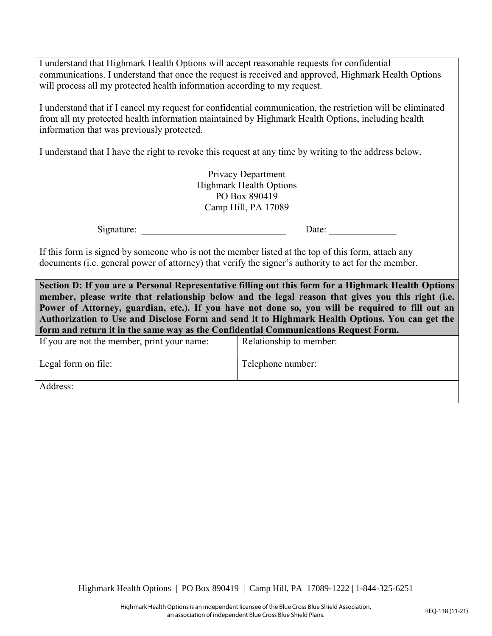I understand that Highmark Health Options will accept reasonable requests for confidential communications. I understand that once the request is received and approved, Highmark Health Options will process all my protected health information according to my request.

I understand that if I cancel my request for confidential communication, the restriction will be eliminated from all my protected health information maintained by Highmark Health Options, including health information that was previously protected.

I understand that I have the right to revoke this request at any time by writing to the address below.

Privacy Department Highmark Health Options PO Box 890419 Camp Hill, PA 17089

Signature: \_\_\_\_\_\_\_\_\_\_\_\_\_\_\_\_\_\_\_\_\_\_\_\_\_\_\_\_\_\_ Date: \_\_\_\_\_\_\_\_\_\_\_\_\_\_

If this form is signed by someone who is not the member listed at the top of this form, attach any documents (i.e. general power of attorney) that verify the signer's authority to act for the member.

**Section D: If you are a Personal Representative filling out this form for a Highmark Health Options member, please write that relationship below and the legal reason that gives you this right (i.e. Power of Attorney, guardian, etc.). If you have not done so, you will be required to fill out an Authorization to Use and Disclose Form and send it to Highmark Health Options. You can get the form and return it in the same way as the Confidential Communications Request Form.**

| If you are not the member, print your name: | Relationship to member: |
|---------------------------------------------|-------------------------|
| Legal form on file:                         | Telephone number:       |
| Address:                                    |                         |